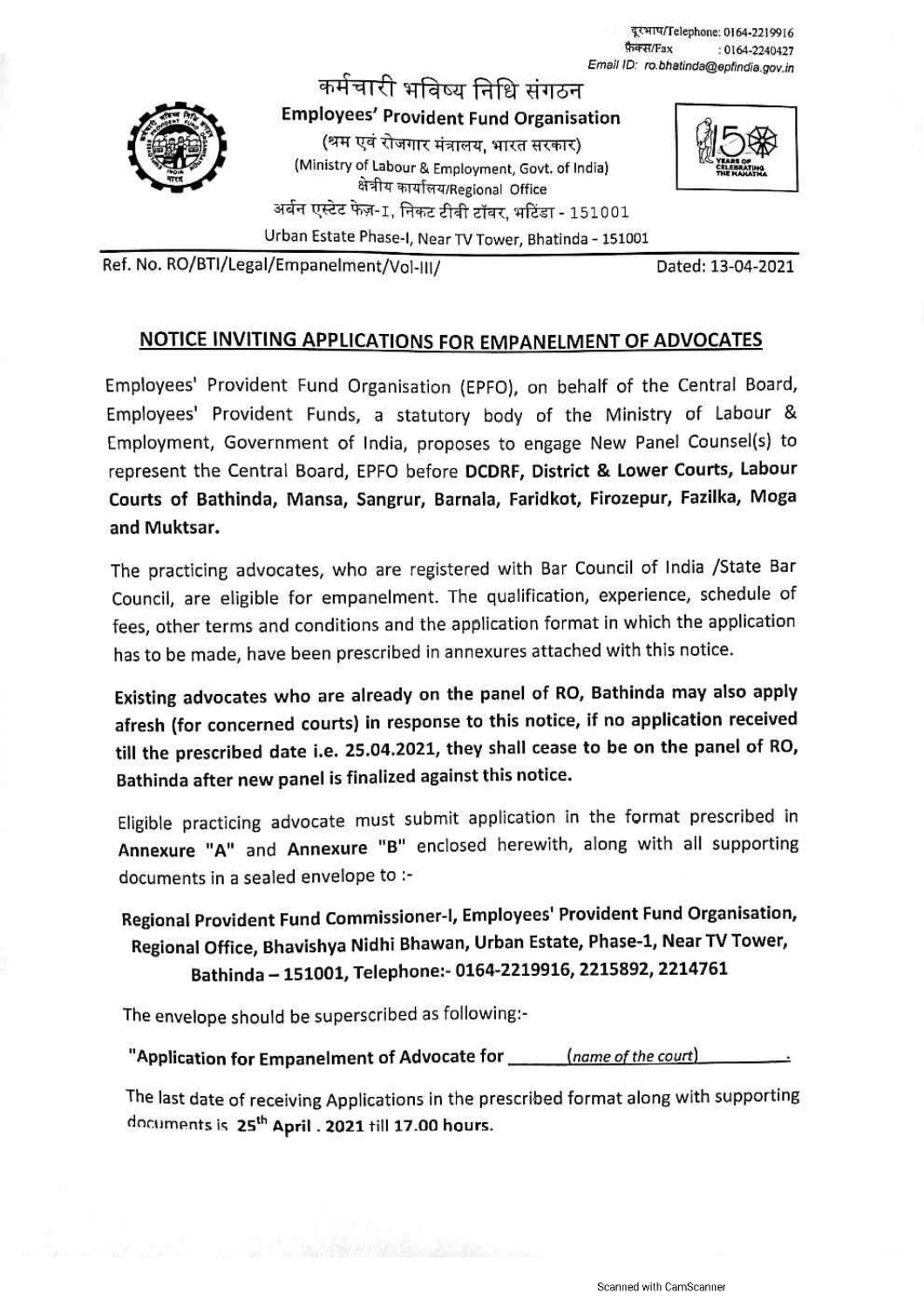दूरभाष/Telephone: 0164-2219916 फ़ैक्स/Fax : 0164-2240427 Email ID: ro.bhatinda@epfindia.gov.in



कर्मचारी भविष्य निधि संगठन **Employees' Provident Fund Organisation** (श्रम एवं रोजगार मंत्रालय, भारत सरकार) (Ministry of Labour & Employment, Govt. of India) क्षेत्रीय कार्यालय/Regional Office अर्बन एस्टेट फेज़-1, निकट टीवी टॉवर, भटिंडा - 151001

Urban Estate Phase-I, Near TV Tower, Bhatinda - 151001



Ref. No. RO/BTI/Legal/Empanelment/Vol-III/

Dated: 13-04-2021

### NOTICE INVITING APPLICATIONS FOR EMPANELMENT OF ADVOCATES

Employees' Provident Fund Organisation (EPFO), on behalf of the Central Board, Employees' Provident Funds, a statutory body of the Ministry of Labour & Employment, Government of India, proposes to engage New Panel Counsel(s) to represent the Central Board, EPFO before DCDRF, District & Lower Courts, Labour Courts of Bathinda, Mansa, Sangrur, Barnala, Faridkot, Firozepur, Fazilka, Moga and Muktsar.

The practicing advocates, who are registered with Bar Council of India /State Bar Council, are eligible for empanelment. The qualification, experience, schedule of fees, other terms and conditions and the application format in which the application has to be made, have been prescribed in annexures attached with this notice.

Existing advocates who are already on the panel of RO, Bathinda may also apply afresh (for concerned courts) in response to this notice, if no application received till the prescribed date i.e. 25.04.2021, they shall cease to be on the panel of RO, Bathinda after new panel is finalized against this notice.

Eligible practicing advocate must submit application in the format prescribed in Annexure "A" and Annexure "B" enclosed herewith, along with all supporting documents in a sealed envelope to :-

Regional Provident Fund Commissioner-I, Employees' Provident Fund Organisation, Regional Office, Bhavishya Nidhi Bhawan, Urban Estate, Phase-1, Near TV Tower, Bathinda - 151001, Telephone:- 0164-2219916, 2215892, 2214761

The envelope should be superscribed as following:-

"Application for Empanelment of Advocate for \_\_\_\_\_\_\_(name of the court)

The last date of receiving Applications in the prescribed format along with supporting documents is 25<sup>th</sup> April . 2021 till 17.00 hours.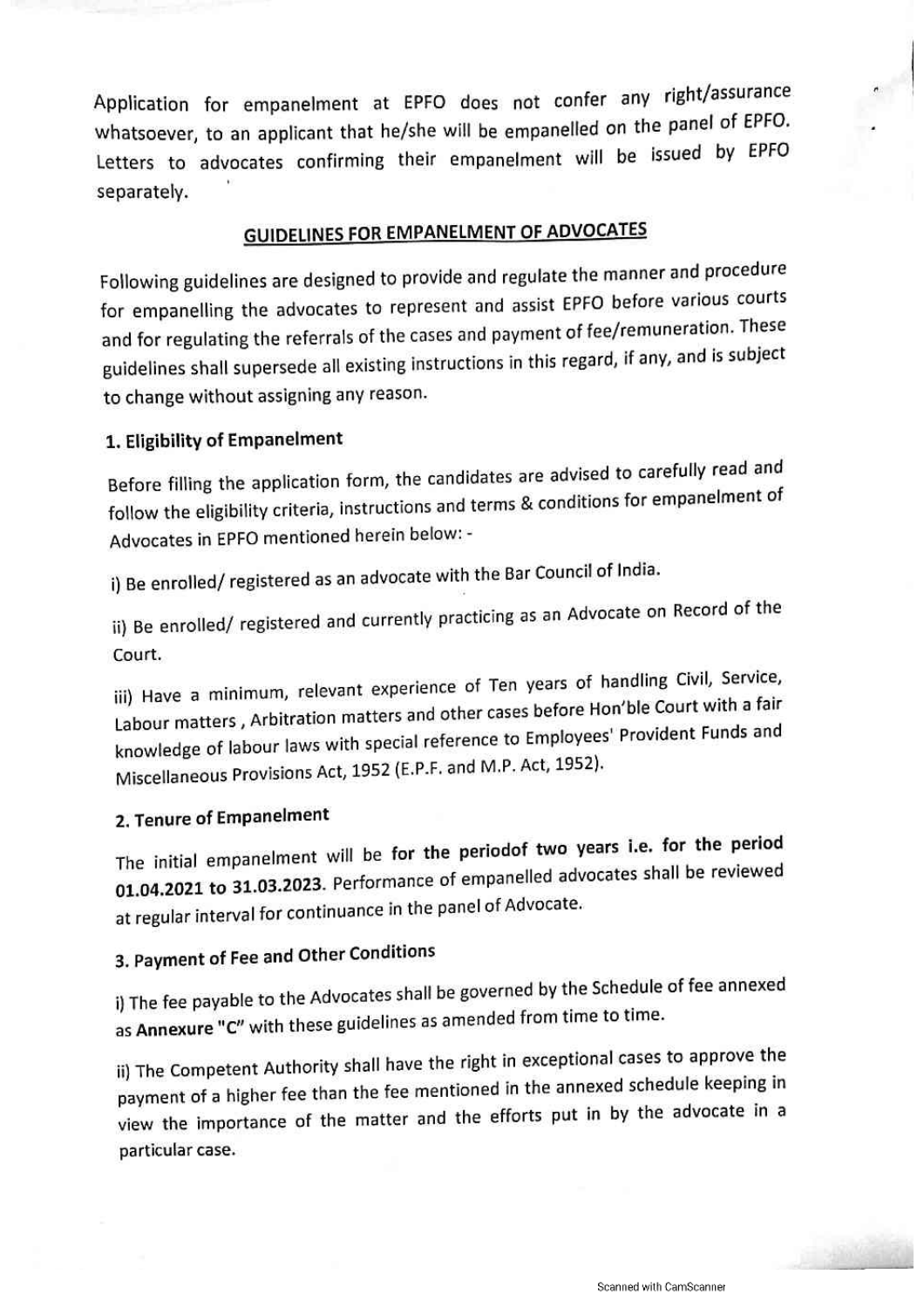Application for empanelment at EPFO does not confer any right/assurance whatsoever, to an applicant that he/she will be empanelled on the panel of EPFO. Letters to advocates confirming their empanelment will be issued by EPFO separately.

## **GUIDELINES FOR EMPANELMENT OF ADVOCATES**

Following guidelines are designed to provide and regulate the manner and procedure for empanelling the advocates to represent and assist EPFO before various courts and for regulating the referrals of the cases and payment of fee/remuneration. These guidelines shall supersede all existing instructions in this regard, if any, and is subject to change without assigning any reason.

#### 1. Eligibility of Empanelment

Before filling the application form, the candidates are advised to carefully read and follow the eligibility criteria, instructions and terms & conditions for empanelment of Advocates in EPFO mentioned herein below: -

i) Be enrolled/registered as an advocate with the Bar Council of India.

ii) Be enrolled/ registered and currently practicing as an Advocate on Record of the Court.

iii) Have a minimum, relevant experience of Ten years of handling Civil, Service, Labour matters, Arbitration matters and other cases before Hon'ble Court with a fair knowledge of labour laws with special reference to Employees' Provident Funds and Miscellaneous Provisions Act, 1952 (E.P.F. and M.P. Act, 1952).

## 2. Tenure of Empanelment

The initial empanelment will be for the periodof two years i.e. for the period 01.04.2021 to 31.03.2023. Performance of empanelled advocates shall be reviewed at regular interval for continuance in the panel of Advocate.

# 3. Payment of Fee and Other Conditions

i) The fee payable to the Advocates shall be governed by the Schedule of fee annexed as Annexure "C" with these guidelines as amended from time to time.

ii) The Competent Authority shall have the right in exceptional cases to approve the payment of a higher fee than the fee mentioned in the annexed schedule keeping in view the importance of the matter and the efforts put in by the advocate in a particular case.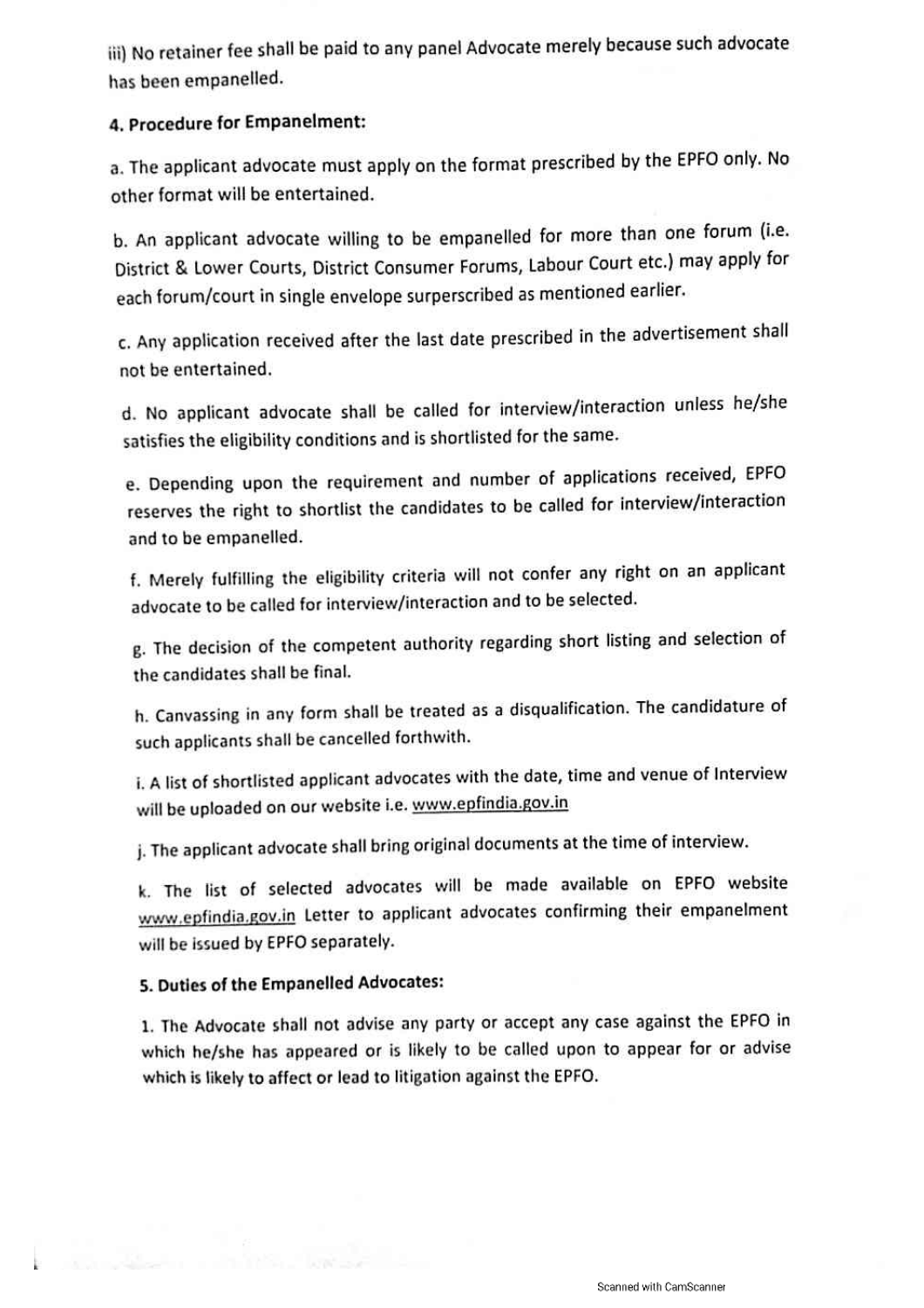iii) No retainer fee shall be paid to any panel Advocate merely because such advocate has been empanelled.

#### 4. Procedure for Empanelment:

a. The applicant advocate must apply on the format prescribed by the EPFO only. No other format will be entertained.

b. An applicant advocate willing to be empanelled for more than one forum (i.e. District & Lower Courts, District Consumer Forums, Labour Court etc.) may apply for each forum/court in single envelope surperscribed as mentioned earlier.

c. Any application received after the last date prescribed in the advertisement shall not be entertained.

d. No applicant advocate shall be called for interview/interaction unless he/she satisfies the eligibility conditions and is shortlisted for the same.

e. Depending upon the requirement and number of applications received, EPFO reserves the right to shortlist the candidates to be called for interview/interaction and to be empanelled.

f. Merely fulfilling the eligibility criteria will not confer any right on an applicant advocate to be called for interview/interaction and to be selected.

g. The decision of the competent authority regarding short listing and selection of the candidates shall be final.

h. Canvassing in any form shall be treated as a disqualification. The candidature of such applicants shall be cancelled forthwith.

i. A list of shortlisted applicant advocates with the date, time and venue of Interview will be uploaded on our website i.e. www.epfindia.gov.in

j. The applicant advocate shall bring original documents at the time of interview.

k. The list of selected advocates will be made available on EPFO website www.epfindia.gov.in Letter to applicant advocates confirming their empanelment will be issued by EPFO separately.

#### 5. Duties of the Empanelled Advocates:

1. The Advocate shall not advise any party or accept any case against the EPFO in which he/she has appeared or is likely to be called upon to appear for or advise which is likely to affect or lead to litigation against the EPFO.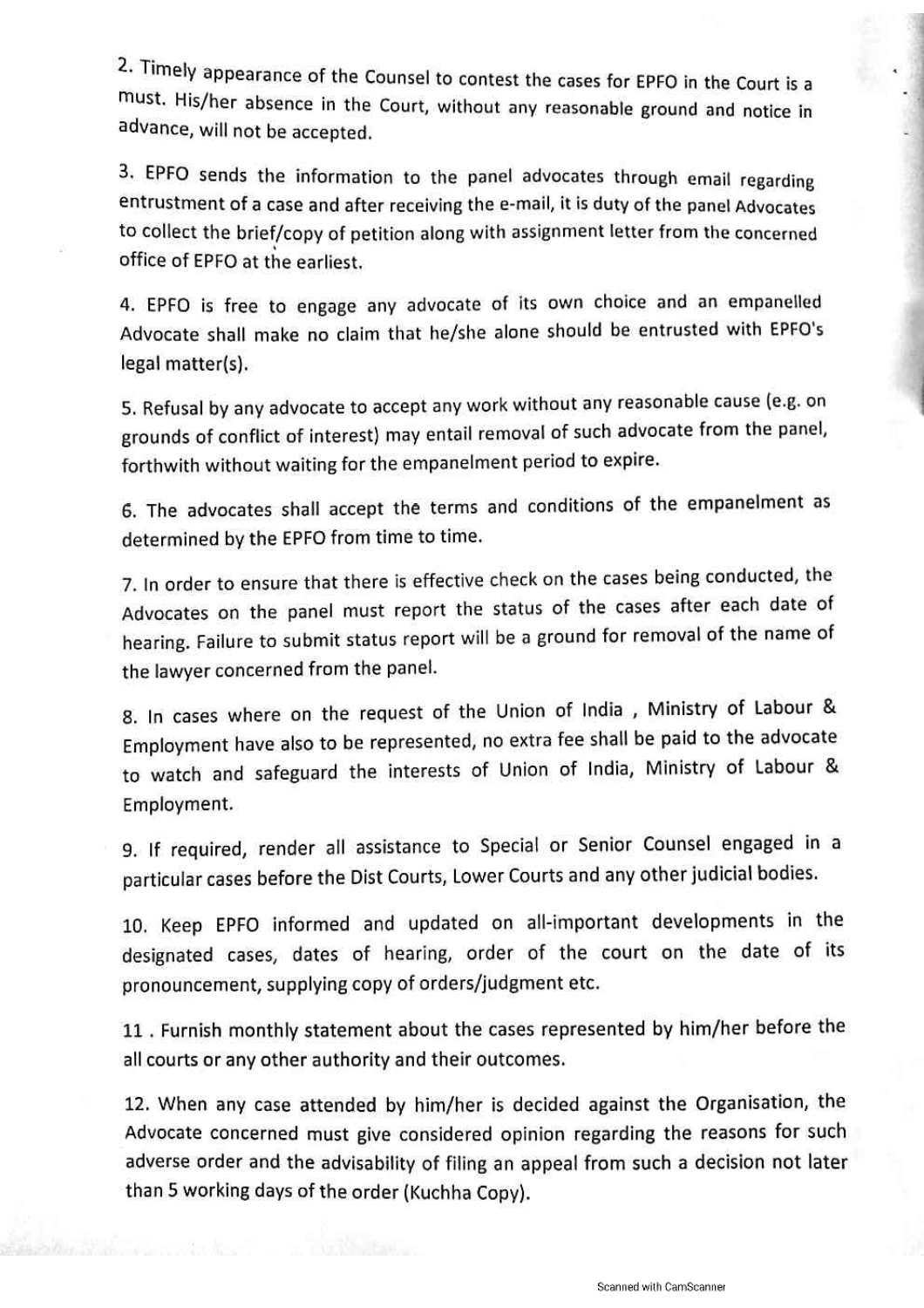2. Timely appearance of the Counsel to contest the cases for EPFO in the Court is a must. His/her absence in the Court, without any reasonable ground and notice in advance, will not be accepted.

3. EPFO sends the information to the panel advocates through email regarding entrustment of a case and after receiving the e-mail, it is duty of the panel Advocates to collect the brief/copy of petition along with assignment letter from the concerned office of EPFO at the earliest.

4. EPFO is free to engage any advocate of its own choice and an empanelled Advocate shall make no claim that he/she alone should be entrusted with EPFO's legal matter(s).

5. Refusal by any advocate to accept any work without any reasonable cause (e.g. on grounds of conflict of interest) may entail removal of such advocate from the panel, forthwith without waiting for the empanelment period to expire.

6. The advocates shall accept the terms and conditions of the empanelment as determined by the EPFO from time to time.

7. In order to ensure that there is effective check on the cases being conducted, the Advocates on the panel must report the status of the cases after each date of hearing. Failure to submit status report will be a ground for removal of the name of the lawyer concerned from the panel.

8. In cases where on the request of the Union of India, Ministry of Labour & Employment have also to be represented, no extra fee shall be paid to the advocate to watch and safeguard the interests of Union of India, Ministry of Labour & Employment.

9. If required, render all assistance to Special or Senior Counsel engaged in a particular cases before the Dist Courts, Lower Courts and any other judicial bodies.

10. Keep EPFO informed and updated on all-important developments in the designated cases, dates of hearing, order of the court on the date of its pronouncement, supplying copy of orders/judgment etc.

11. Furnish monthly statement about the cases represented by him/her before the all courts or any other authority and their outcomes.

12. When any case attended by him/her is decided against the Organisation, the Advocate concerned must give considered opinion regarding the reasons for such adverse order and the advisability of filing an appeal from such a decision not later than 5 working days of the order (Kuchha Copy).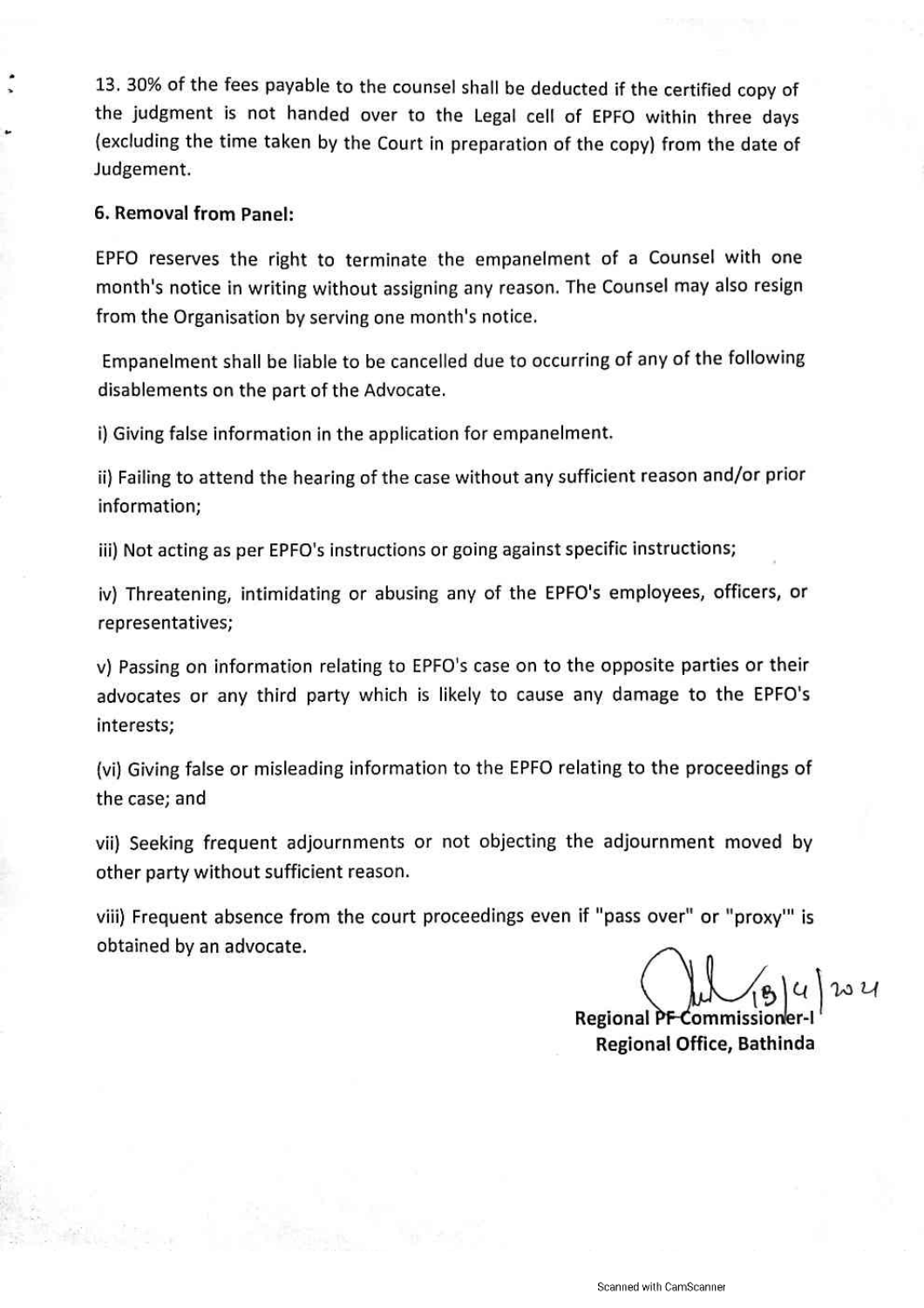13. 30% of the fees payable to the counsel shall be deducted if the certified copy of the judgment is not handed over to the Legal cell of EPFO within three days (excluding the time taken by the Court in preparation of the copy) from the date of Judgement.

#### 6. Removal from Panel:

EPFO reserves the right to terminate the empanelment of a Counsel with one month's notice in writing without assigning any reason. The Counsel may also resign from the Organisation by serving one month's notice.

Empanelment shall be liable to be cancelled due to occurring of any of the following disablements on the part of the Advocate.

i) Giving false information in the application for empanelment.

ii) Failing to attend the hearing of the case without any sufficient reason and/or prior information;

iii) Not acting as per EPFO's instructions or going against specific instructions;

iv) Threatening, intimidating or abusing any of the EPFO's employees, officers, or representatives;

v) Passing on information relating to EPFO's case on to the opposite parties or their advocates or any third party which is likely to cause any damage to the EPFO's interests:

(vi) Giving false or misleading information to the EPFO relating to the proceedings of the case; and

vii) Seeking frequent adjournments or not objecting the adjournment moved by other party without sufficient reason.

viii) Frequent absence from the court proceedings even if "pass over" or "proxy" is obtained by an advocate.

**Regional PF** Regional Office, Bathinda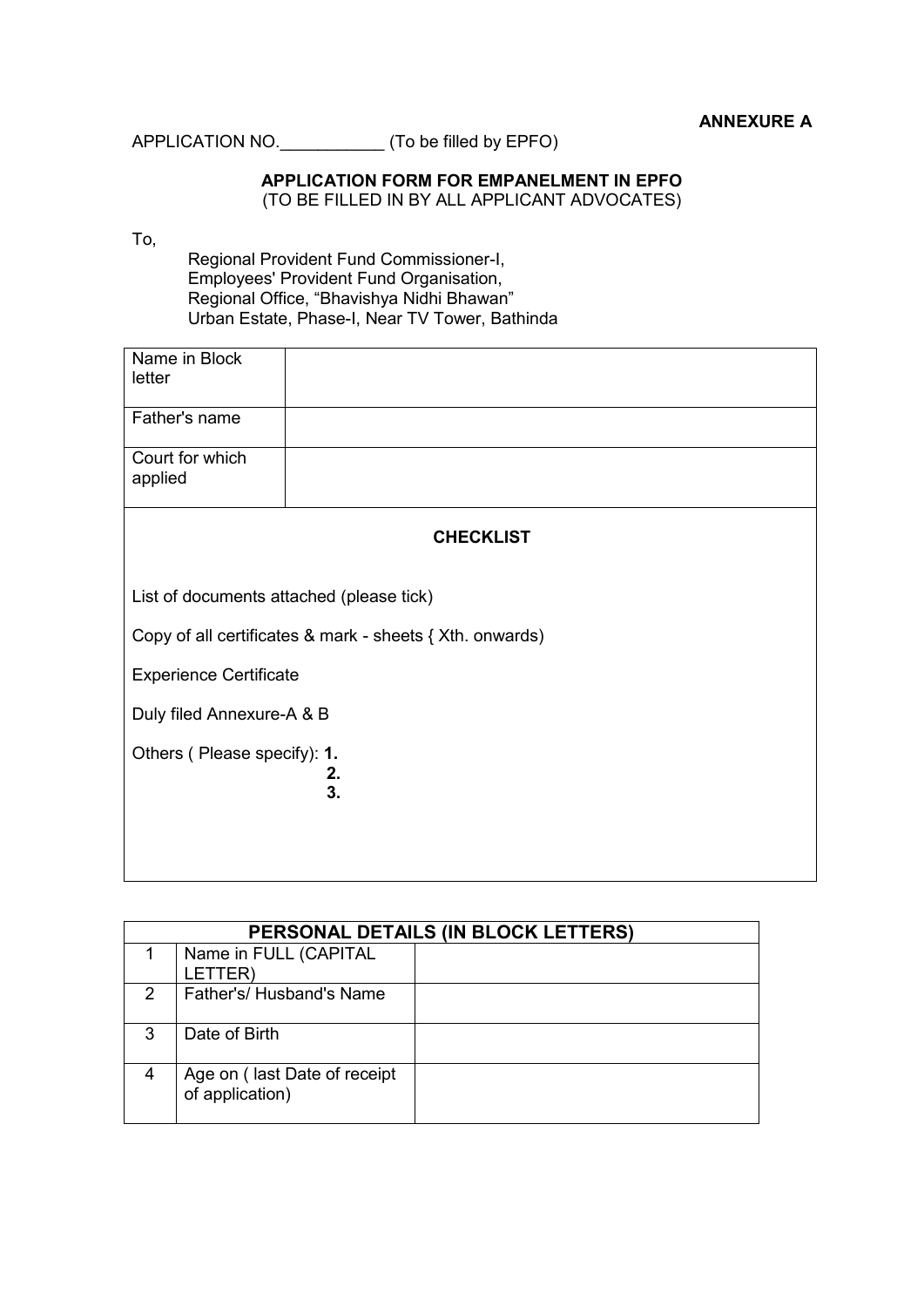APPLICATION NO.\_\_\_\_\_\_\_\_\_\_\_ (To be filled by EPFO)

#### **APPLICATION FORM FOR EMPANELMENT IN EPFO**  (TO BE FILLED IN BY ALL APPLICANT ADVOCATES)

#### To,

Regional Provident Fund Commissioner-I, Employees' Provident Fund Organisation, Regional Office, "Bhavishya Nidhi Bhawan" Urban Estate, Phase-I, Near TV Tower, Bathinda

| Name in Block<br>letter                                  |                  |  |
|----------------------------------------------------------|------------------|--|
| Father's name                                            |                  |  |
| Court for which<br>applied                               |                  |  |
|                                                          | <b>CHECKLIST</b> |  |
| List of documents attached (please tick)                 |                  |  |
| Copy of all certificates & mark - sheets { Xth. onwards) |                  |  |
| <b>Experience Certificate</b>                            |                  |  |
| Duly filed Annexure-A & B                                |                  |  |
| Others (Please specify): 1.<br>2.<br>3.                  |                  |  |

|   | PERSONAL DETAILS (IN BLOCK LETTERS)             |  |  |  |
|---|-------------------------------------------------|--|--|--|
|   | Name in FULL (CAPITAL<br>LETTER)                |  |  |  |
| 2 | Father's/ Husband's Name                        |  |  |  |
| 3 | Date of Birth                                   |  |  |  |
|   | Age on (last Date of receipt<br>of application) |  |  |  |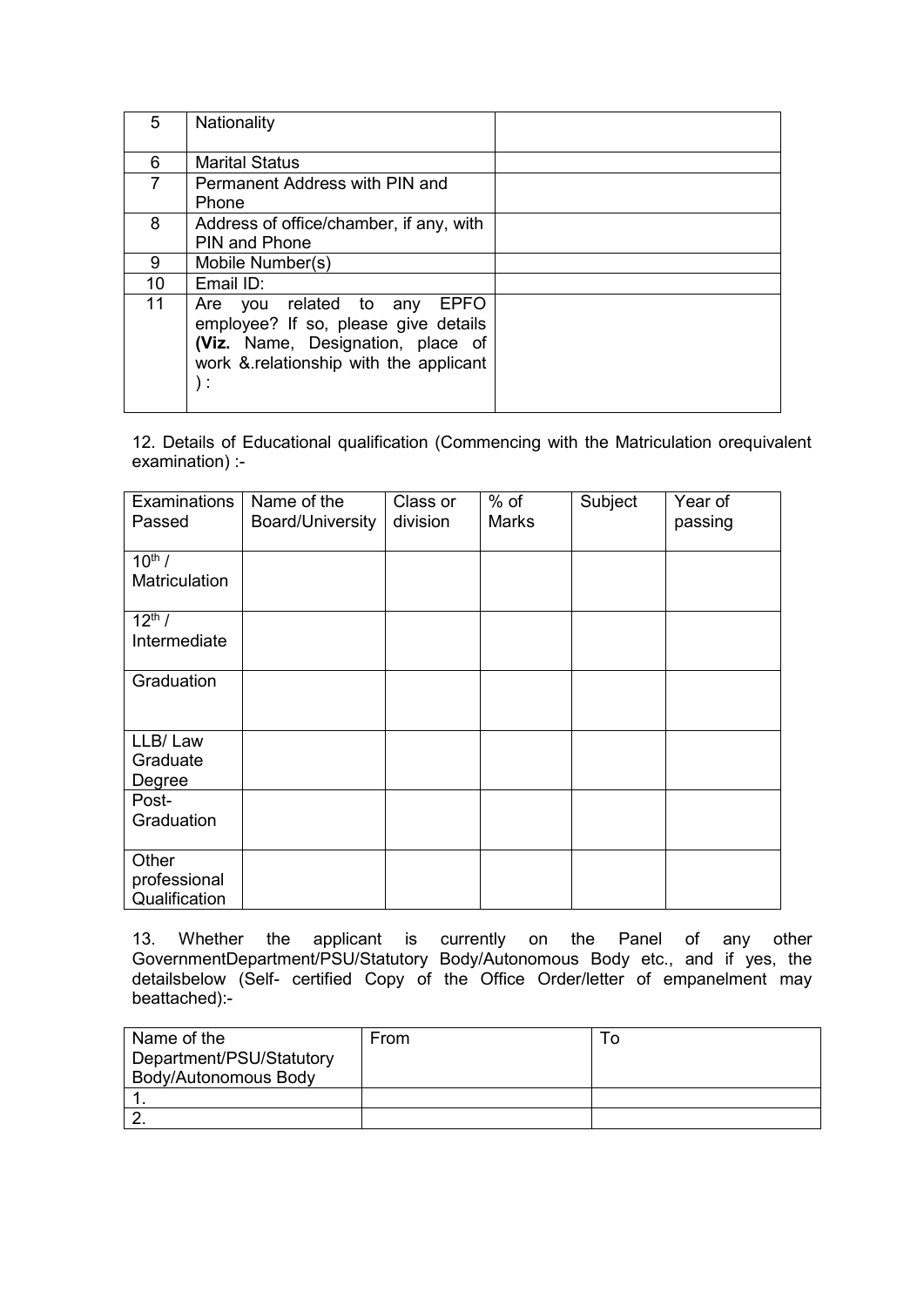| 5  | Nationality                                                                                                                                                         |  |
|----|---------------------------------------------------------------------------------------------------------------------------------------------------------------------|--|
| 6  | <b>Marital Status</b>                                                                                                                                               |  |
| 7  | Permanent Address with PIN and<br>Phone                                                                                                                             |  |
| 8  | Address of office/chamber, if any, with<br><b>PIN and Phone</b>                                                                                                     |  |
| 9  | Mobile Number(s)                                                                                                                                                    |  |
| 10 | Email ID:                                                                                                                                                           |  |
| 11 | Are you related to any<br><b>EPFO</b><br>employee? If so, please give details<br>(Viz. Name, Designation, place of<br>work & relationship with the applicant<br>: ١ |  |

12. Details of Educational qualification (Commencing with the Matriculation orequivalent examination) :-

| Examinations<br>Passed                 | Name of the<br>Board/University | Class or<br>division | $%$ of<br><b>Marks</b> | Subject | Year of<br>passing |
|----------------------------------------|---------------------------------|----------------------|------------------------|---------|--------------------|
| $10^{th}$ /<br>Matriculation           |                                 |                      |                        |         |                    |
| $12^{th}$ /<br>Intermediate            |                                 |                      |                        |         |                    |
| Graduation                             |                                 |                      |                        |         |                    |
| LLB/Law<br>Graduate<br>Degree          |                                 |                      |                        |         |                    |
| Post-<br>Graduation                    |                                 |                      |                        |         |                    |
| Other<br>professional<br>Qualification |                                 |                      |                        |         |                    |

13. Whether the applicant is currently on the Panel of any other GovernmentDepartment/PSU/Statutory Body/Autonomous Body etc., and if yes, the detailsbelow (Self- certified Copy of the Office Order/letter of empanelment may beattached):-

| Name of the              | From |  |
|--------------------------|------|--|
| Department/PSU/Statutory |      |  |
| Body/Autonomous Body     |      |  |
|                          |      |  |
|                          |      |  |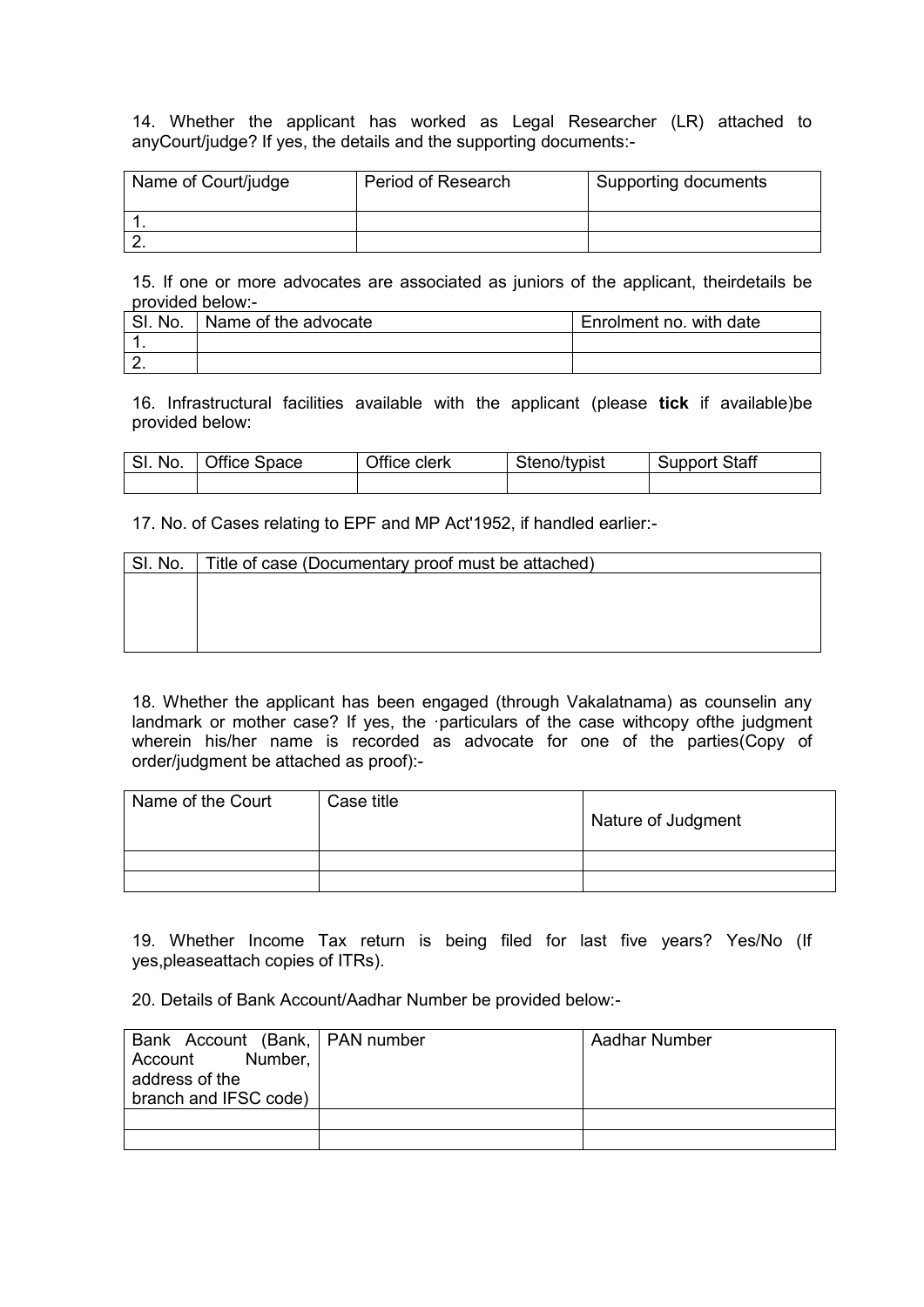14. Whether the applicant has worked as Legal Researcher (LR) attached to anyCourt/judge? If yes, the details and the supporting documents:-

| Name of Court/judge | <b>Period of Research</b> | Supporting documents |
|---------------------|---------------------------|----------------------|
|                     |                           |                      |
|                     |                           |                      |

15. If one or more advocates are associated as juniors of the applicant, theirdetails be provided below:-

| SI. No. | Name of the advocate | Enrolment no. with date |
|---------|----------------------|-------------------------|
|         |                      |                         |
|         |                      |                         |

16. Infrastructural facilities available with the applicant (please **tick** if available)be provided below:

| SI. No.   Office Space | Office clerk | Steno/typist | <b>Support Staff</b> |
|------------------------|--------------|--------------|----------------------|
|                        |              |              |                      |

17. No. of Cases relating to EPF and MP Act'1952, if handled earlier:-

| SI. No. | Title of case (Documentary proof must be attached) |
|---------|----------------------------------------------------|
|         |                                                    |
|         |                                                    |
|         |                                                    |
|         |                                                    |

18. Whether the applicant has been engaged (through Vakalatnama) as counselin any landmark or mother case? If yes, the ·particulars of the case withcopy ofthe judgment wherein his/her name is recorded as advocate for one of the parties(Copy of order/judgment be attached as proof):-

| Name of the Court | Case title | Nature of Judgment |
|-------------------|------------|--------------------|
|                   |            |                    |
|                   |            |                    |

19. Whether Income Tax return is being filed for last five years? Yes/No (If yes,pleaseattach copies of ITRs).

20. Details of Bank Account/Aadhar Number be provided below:-

| Bank Account (Bank,   PAN number | Aadhar Number |
|----------------------------------|---------------|
| Account Number,                  |               |
| address of the                   |               |
| branch and IFSC code)            |               |
|                                  |               |
|                                  |               |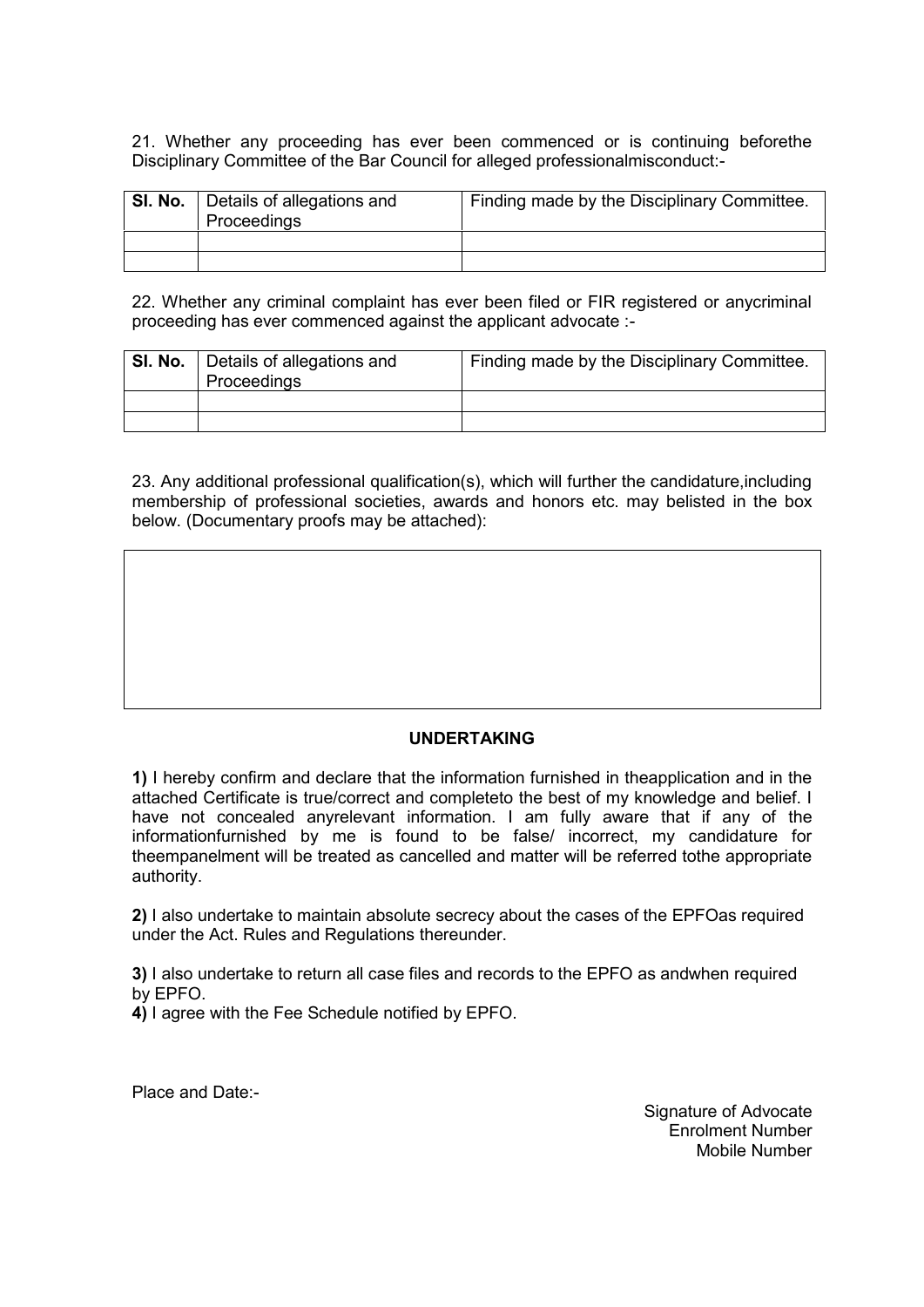21. Whether any proceeding has ever been commenced or is continuing beforethe Disciplinary Committee of the Bar Council for alleged professionalmisconduct:-

| <b>SI. No.</b>   Details of allegations and<br>Proceedings | Finding made by the Disciplinary Committee. |
|------------------------------------------------------------|---------------------------------------------|
|                                                            |                                             |
|                                                            |                                             |

22. Whether any criminal complaint has ever been filed or FIR registered or anycriminal proceeding has ever commenced against the applicant advocate :-

| <b>SI. No.</b>   Details of allegations and<br>Proceedings | Finding made by the Disciplinary Committee. |
|------------------------------------------------------------|---------------------------------------------|
|                                                            |                                             |
|                                                            |                                             |

23. Any additional professional qualification(s), which will further the candidature,including membership of professional societies, awards and honors etc. may belisted in the box below. (Documentary proofs may be attached):

#### **UNDERTAKING**

**1)** I hereby confirm and declare that the information furnished in theapplication and in the attached Certificate is true/correct and completeto the best of my knowledge and belief. I have not concealed anyrelevant information. I am fully aware that if any of the informationfurnished by me is found to be false/ incorrect, my candidature for theempanelment will be treated as cancelled and matter will be referred tothe appropriate authority.

**2)** I also undertake to maintain absolute secrecy about the cases of the EPFOas required under the Act. Rules and Regulations thereunder.

**3)** I also undertake to return all case files and records to the EPFO as andwhen required by EPFO.

**4)** I agree with the Fee Schedule notified by EPFO.

Place and Date:-

Signature of Advocate Enrolment Number Mobile Number